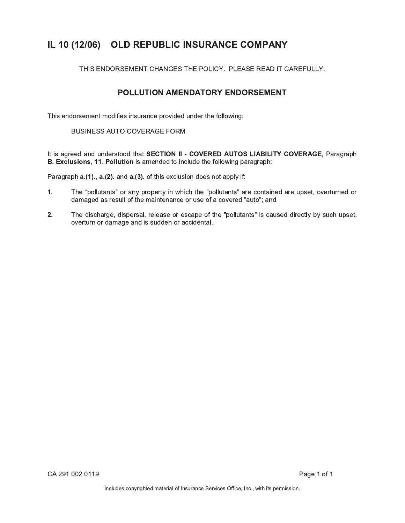## IL 10 (12/06) OLD REPUBLIC INSURANCE COMPANY

THIS ENDORSEMENT CHANGES THE POLICY. PLEASE READ IT CAREFULLY.

## POLLUTION AMENDATORY ENDORSEMENT

This endorsement modifies insurance provided under the following:

### **BUSINESS AUTO COVERAGE FORM**

It is agreed and understood that SECTION II - COVERED AUTOS LIABILITY COVERAGE, Paragraph B. Exclusions, 11. Pollution is amended to include the following paragraph:

Paragraph a.(1)., a.(2). and a.(3). of this exclusion does not apply if:

- $1.$ The "pollutants" or any property in which the "pollutants" are contained are upset, overturned or damaged as result of the maintenance or use of a covered "auto"; and
- $2.$ The discharge, dispersal, release or escape of the "pollutants" is caused directly by such upset, overturn or damage and is sudden or accidental.